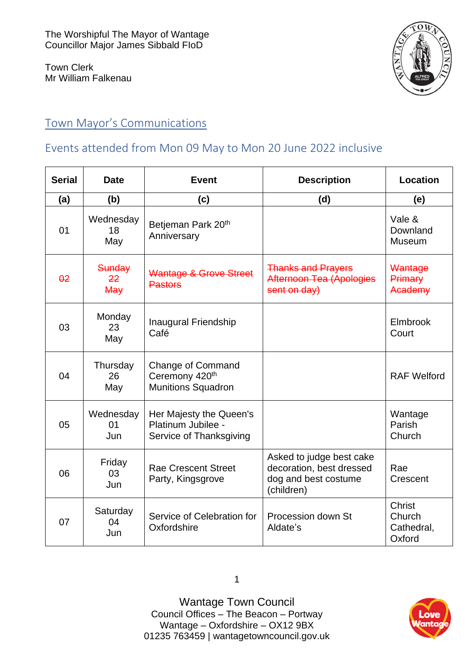Town Clerk Mr William Falkenau



## Town Mayor's Communications

## Events attended from Mon 09 May to Mon 20 June 2022 inclusive

| <b>Serial</b>   | <b>Date</b>            | <b>Event</b>                                                             | <b>Description</b>                                                                         | Location                                        |
|-----------------|------------------------|--------------------------------------------------------------------------|--------------------------------------------------------------------------------------------|-------------------------------------------------|
| (a)             | (b)                    | (c)                                                                      | (d)                                                                                        | (e)                                             |
| 01              | Wednesday<br>18<br>May | Betjeman Park 20 <sup>th</sup><br>Anniversary                            |                                                                                            | Vale &<br>Downland<br><b>Museum</b>             |
| $\overline{02}$ | Sunday<br>22<br>May    | Wantage & Grove Street<br><b>Pastors</b>                                 | <b>Thanks and Prayers</b><br>Afternoon Tea (Apologies<br>sent on day)                      | Wantage<br>Primary<br>Academy                   |
| 03              | Monday<br>23<br>May    | <b>Inaugural Friendship</b><br>Café                                      |                                                                                            | Elmbrook<br>Court                               |
| 04              | Thursday<br>26<br>May  | <b>Change of Command</b><br>Ceremony 420th<br><b>Munitions Squadron</b>  |                                                                                            | <b>RAF Welford</b>                              |
| 05              | Wednesday<br>01<br>Jun | Her Majesty the Queen's<br>Platinum Jubilee -<br>Service of Thanksgiving |                                                                                            | Wantage<br>Parish<br>Church                     |
| 06              | Friday<br>03<br>Jun    | <b>Rae Crescent Street</b><br>Party, Kingsgrove                          | Asked to judge best cake<br>decoration, best dressed<br>dog and best costume<br>(children) | Rae<br>Crescent                                 |
| 07              | Saturday<br>04<br>Jun  | Service of Celebration for<br>Oxfordshire                                | Procession down St<br>Aldate's                                                             | <b>Christ</b><br>Church<br>Cathedral,<br>Oxford |

Wantage Town Council Council Offices – The Beacon – Portway Wantage – Oxfordshire – OX12 9BX [01235 763459](tel:+441235763459) | [wantagetowncouncil.gov.uk](https://wantagetowncouncil.gov.uk/)

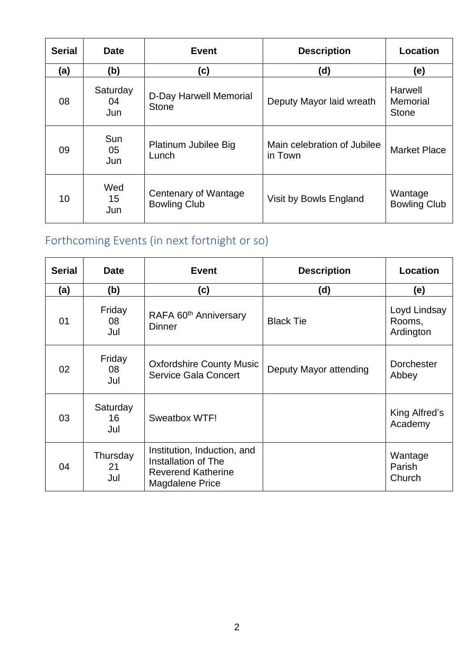| <b>Serial</b> | <b>Date</b>           | <b>Event</b>                                | <b>Description</b>                     | Location                            |
|---------------|-----------------------|---------------------------------------------|----------------------------------------|-------------------------------------|
| (a)           | (b)                   | (c)                                         | (d)                                    | (e)                                 |
| 08            | Saturday<br>04<br>Jun | D-Day Harwell Memorial<br><b>Stone</b>      | Deputy Mayor laid wreath               | Harwell<br>Memorial<br><b>Stone</b> |
| 09            | Sun<br>05<br>Jun      | Platinum Jubilee Big<br>Lunch               | Main celebration of Jubilee<br>in Town | <b>Market Place</b>                 |
| 10            | Wed<br>15<br>Jun      | Centenary of Wantage<br><b>Bowling Club</b> | Visit by Bowls England                 | Wantage<br><b>Bowling Club</b>      |

# Forthcoming Events (in next fortnight or so)

| <b>Serial</b> | <b>Date</b>           | <b>Event</b>                                                                                       | <b>Description</b>     | Location                            |
|---------------|-----------------------|----------------------------------------------------------------------------------------------------|------------------------|-------------------------------------|
| (a)           | (b)<br>(c)            |                                                                                                    | (d)                    | (e)                                 |
| 01            | Friday<br>08<br>Jul   | RAFA 60 <sup>th</sup> Anniversary<br><b>Dinner</b>                                                 | <b>Black Tie</b>       | Loyd Lindsay<br>Rooms,<br>Ardington |
| 02            | Friday<br>08<br>Jul   | <b>Oxfordshire County Music</b><br><b>Service Gala Concert</b>                                     | Deputy Mayor attending | <b>Dorchester</b><br>Abbey          |
| 03            | Saturday<br>16<br>Jul | Sweatbox WTF!                                                                                      |                        | King Alfred's<br>Academy            |
| 04            | Thursday<br>21<br>Jul | Institution, Induction, and<br>Installation of The<br><b>Reverend Katherine</b><br>Magdalene Price |                        | Wantage<br>Parish<br>Church         |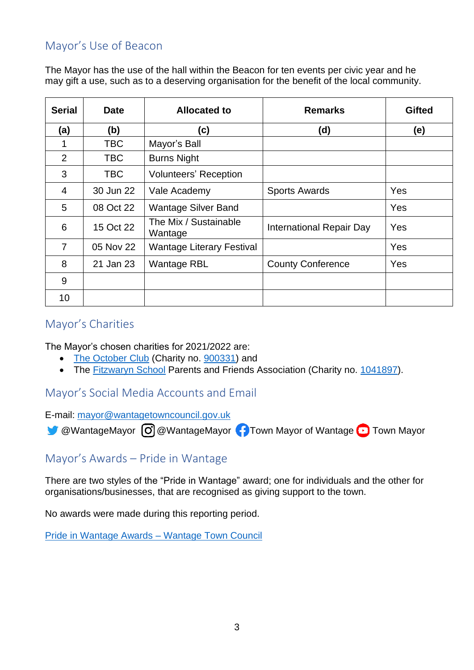## Mayor's Use of Beacon

The Mayor has the use of the hall within the Beacon for ten events per civic year and he may gift a use, such as to a deserving organisation for the benefit of the local community.

| <b>Serial</b>  | <b>Date</b> | <b>Allocated to</b>              | <b>Remarks</b>           | <b>Gifted</b> |
|----------------|-------------|----------------------------------|--------------------------|---------------|
| (a)            | (b)         | (c)                              | (d)                      | (e)           |
| 1              | <b>TBC</b>  | Mayor's Ball                     |                          |               |
| $\overline{2}$ | <b>TBC</b>  | <b>Burns Night</b>               |                          |               |
| 3              | TBC.        | <b>Volunteers' Reception</b>     |                          |               |
| $\overline{4}$ | 30 Jun 22   | Vale Academy                     | <b>Sports Awards</b>     | Yes           |
| 5              | 08 Oct 22   | <b>Wantage Silver Band</b>       |                          | Yes           |
| 6              | 15 Oct 22   | The Mix / Sustainable<br>Wantage | International Repair Day | Yes           |
| $\overline{7}$ | 05 Nov 22   | <b>Wantage Literary Festival</b> |                          | Yes           |
| 8              | 21 Jan 23   | <b>Wantage RBL</b>               | <b>County Conference</b> | Yes           |
| 9              |             |                                  |                          |               |
| 10             |             |                                  |                          |               |

### Mayor's Charities

The Mayor's chosen charities for 2021/2022 are:

- [The October Club](https://www.octoberclub.org.uk/) (Charity no. [900331\)](https://beta.charitycommission.gov.uk/charity-details/?regId=900331&subId=0) and
- The [Fitzwaryn School](https://www.fitzwaryn.oxon.sch.uk/) Parents and Friends Association (Charity no. [1041897\)](https://beta.charitycommission.gov.uk/charity-details/?regId=1041897&subId=0).

### Mayor's Social Media Accounts and Email

E-mail: [mayor@wantagetowncouncil.gov.uk](mailto:mayor@wantagetowncouncil.gov.uk)

 $\bullet$  [@WantageMayor](https://www.instagram.com/wantagemayor/)  $\odot$  @WantageMayor  $\bullet$  [Town Mayor of Wantage](https://www.facebook.com/Town-Mayor-of-Wantage-446212369291346/)  $\odot$  [Town Mayor](https://www.youtube.com/channel/UCqNWPyNYw6d0rTc2YF7KZdQ)

#### Mayor's Awards – Pride in Wantage

There are two styles of the "Pride in Wantage" award; one for individuals and the other for organisations/businesses, that are recognised as giving support to the town.

No awards were made during this reporting period.

[Pride in Wantage Awards –](https://wantagetowncouncil.gov.uk/wantage-town-mayor/pride-in-wantage-awards/) Wantage Town Council